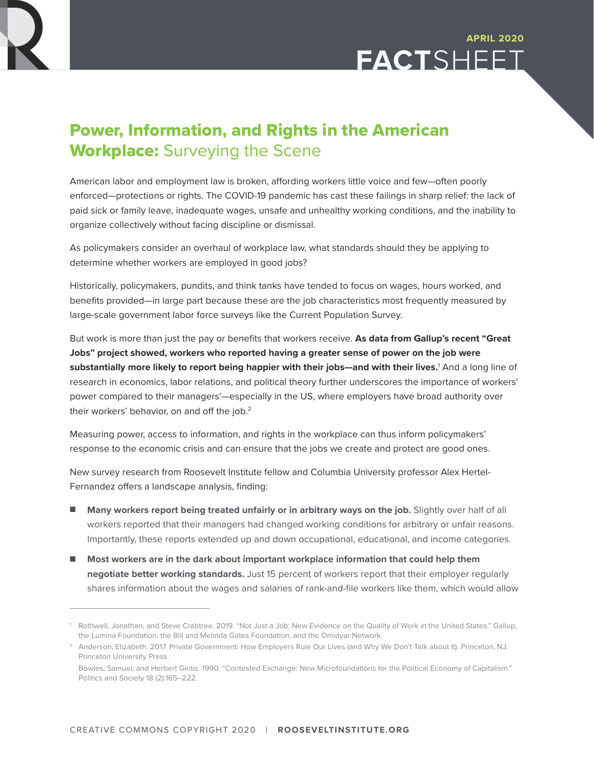



## Power, Information, and Rights in the American **Workplace:** Surveying the Scene

American labor and employment law is broken, affording workers little voice and few—often poorly enforced—protections or rights. The COVID-19 pandemic has cast these failings in sharp relief: the lack of paid sick or family leave, inadequate wages, unsafe and unhealthy working conditions, and the inability to organize collectively without facing discipline or dismissal.

As policymakers consider an overhaul of workplace law, what standards should they be applying to determine whether workers are employed in good jobs?

Historically, policymakers, pundits, and think tanks have tended to focus on wages, hours worked, and benefits provided—in large part because these are the job characteristics most frequently measured by large-scale government labor force surveys like the Current Population Survey.

But work is more than just the pay or benefits that workers receive. **As data from Gallup's recent "Great Jobs" project showed, workers who reported having a greater sense of power on the job were substantially more likely to report being happier with their jobs—and with their lives.**<sup>1</sup> And a long line of research in economics, labor relations, and political theory further underscores the importance of workers' power compared to their managers'—especially in the US, where employers have broad authority over their workers' behavior, on and off the job.<sup>2</sup>

Measuring power, access to information, and rights in the workplace can thus inform policymakers' response to the economic crisis and can ensure that the jobs we create and protect are good ones.

New survey research from Roosevelt Institute fellow and Columbia University professor Alex Hertel-Fernandez offers a landscape analysis, finding:

- Many workers report being treated unfairly or in arbitrary ways on the job. Slightly over half of all workers reported that their managers had changed working conditions for arbitrary or unfair reasons. Importantly, these reports extended up and down occupational, educational, and income categories.
- Most workers are in the dark about important workplace information that could help them **negotiate better working standards.** Just 15 percent of workers report that their employer regularly shares information about the wages and salaries of rank-and-file workers like them, which would allow

<sup>1</sup> Rothwell, Jonathan, and Steve Crabtree. 2019. "Not Just a Job: New Evidence on the Quality of Work in the United States." Gallup, the Lumina Foundation, the Bill and Melinda Gates Foundation, and the Omidyar Network.

<sup>&</sup>lt;sup>2</sup> Anderson, Elizabeth. 2017. Private Government: How Employers Rule Our Lives (and Why We Don't Talk about It). Princeton, NJ: Princeton University Press.

Bowles, Samuel, and Herbert Gintis. 1990. "Contested Exchange: New Microfoundations for the Political Economy of Capitalism." Politics and Society 18 (2):165–222.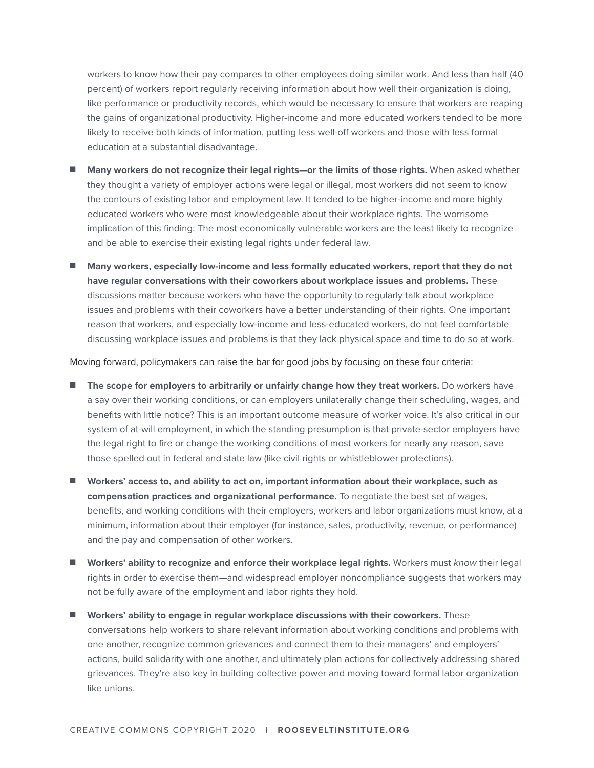workers to know how their pay compares to other employees doing similar work. And less than half (40 percent) of workers report regularly receiving information about how well their organization is doing, like performance or productivity records, which would be necessary to ensure that workers are reaping the gains of organizational productivity. Higher-income and more educated workers tended to be more likely to receive both kinds of information, putting less well-off workers and those with less formal education at a substantial disadvantage.

- Many workers do not recognize their legal rights—or the limits of those rights. When asked whether they thought a variety of employer actions were legal or illegal, most workers did not seem to know the contours of existing labor and employment law. It tended to be higher-income and more highly educated workers who were most knowledgeable about their workplace rights. The worrisome implication of this finding: The most economically vulnerable workers are the least likely to recognize and be able to exercise their existing legal rights under federal law.
- n **Many workers, especially low-income and less formally educated workers, report that they do not have regular conversations with their coworkers about workplace issues and problems.** These discussions matter because workers who have the opportunity to regularly talk about workplace issues and problems with their coworkers have a better understanding of their rights. One important reason that workers, and especially low-income and less-educated workers, do not feel comfortable discussing workplace issues and problems is that they lack physical space and time to do so at work.

Moving forward, policymakers can raise the bar for good jobs by focusing on these four criteria:

- **n** The scope for employers to arbitrarily or unfairly change how they treat workers. Do workers have a say over their working conditions, or can employers unilaterally change their scheduling, wages, and benefits with little notice? This is an important outcome measure of worker voice. It's also critical in our system of at-will employment, in which the standing presumption is that private-sector employers have the legal right to fire or change the working conditions of most workers for nearly any reason, save those spelled out in federal and state law (like civil rights or whistleblower protections).
- Workers' access to, and ability to act on, important information about their workplace, such as **compensation practices and organizational performance.** To negotiate the best set of wages, benefits, and working conditions with their employers, workers and labor organizations must know, at a minimum, information about their employer (for instance, sales, productivity, revenue, or performance) and the pay and compensation of other workers.
- Workers' ability to recognize and enforce their workplace legal rights. Workers must *know* their legal rights in order to exercise them—and widespread employer noncompliance suggests that workers may not be fully aware of the employment and labor rights they hold.
- **n** Workers' ability to engage in regular workplace discussions with their coworkers. These conversations help workers to share relevant information about working conditions and problems with one another, recognize common grievances and connect them to their managers' and employers' actions, build solidarity with one another, and ultimately plan actions for collectively addressing shared grievances. They're also key in building collective power and moving toward formal labor organization like unions.